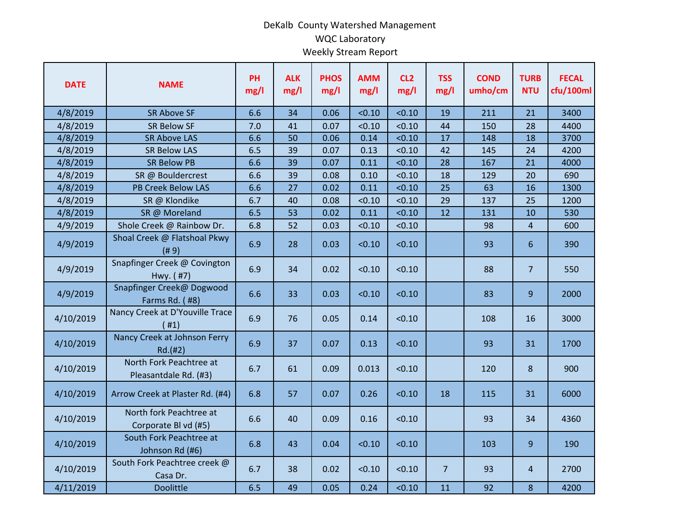## DeKalb County Watershed Management WQC Laboratory Weekly Stream Report

| <b>DATE</b> | <b>NAME</b>                                      | PH<br>mg/l | <b>ALK</b><br>mg/l | <b>PHOS</b><br>mg/l | <b>AMM</b><br>mg/l | CL <sub>2</sub><br>mg/l | <b>TSS</b><br>mg/l | <b>COND</b><br>umho/cm | <b>TURB</b><br><b>NTU</b> | <b>FECAL</b><br>cfu/100ml |
|-------------|--------------------------------------------------|------------|--------------------|---------------------|--------------------|-------------------------|--------------------|------------------------|---------------------------|---------------------------|
| 4/8/2019    | <b>SR Above SF</b>                               | 6.6        | 34                 | 0.06                | < 0.10             | < 0.10                  | 19                 | 211                    | 21                        | 3400                      |
| 4/8/2019    | <b>SR Below SF</b>                               | 7.0        | 41                 | 0.07                | < 0.10             | < 0.10                  | 44                 | 150                    | 28                        | 4400                      |
| 4/8/2019    | <b>SR Above LAS</b>                              | 6.6        | 50                 | 0.06                | 0.14               | < 0.10                  | 17                 | 148                    | 18                        | 3700                      |
| 4/8/2019    | <b>SR Below LAS</b>                              | 6.5        | 39                 | 0.07                | 0.13               | < 0.10                  | 42                 | 145                    | 24                        | 4200                      |
| 4/8/2019    | <b>SR Below PB</b>                               | 6.6        | 39                 | 0.07                | 0.11               | < 0.10                  | 28                 | 167                    | 21                        | 4000                      |
| 4/8/2019    | SR @ Bouldercrest                                | 6.6        | 39                 | 0.08                | 0.10               | < 0.10                  | 18                 | 129                    | 20                        | 690                       |
| 4/8/2019    | <b>PB Creek Below LAS</b>                        | 6.6        | 27                 | 0.02                | 0.11               | < 0.10                  | 25                 | 63                     | 16                        | 1300                      |
| 4/8/2019    | SR @ Klondike                                    | 6.7        | 40                 | 0.08                | < 0.10             | < 0.10                  | 29                 | 137                    | 25                        | 1200                      |
| 4/8/2019    | SR @ Moreland                                    | 6.5        | 53                 | 0.02                | 0.11               | < 0.10                  | 12                 | 131                    | 10                        | 530                       |
| 4/9/2019    | Shole Creek @ Rainbow Dr.                        | 6.8        | 52                 | 0.03                | < 0.10             | < 0.10                  |                    | 98                     | 4                         | 600                       |
| 4/9/2019    | Shoal Creek @ Flatshoal Pkwy<br>(# 9)            | 6.9        | 28                 | 0.03                | < 0.10             | < 0.10                  |                    | 93                     | $6\phantom{1}$            | 390                       |
| 4/9/2019    | Snapfinger Creek @ Covington<br>Hwy. (#7)        | 6.9        | 34                 | 0.02                | < 0.10             | < 0.10                  |                    | 88                     | $\overline{7}$            | 550                       |
| 4/9/2019    | Snapfinger Creek@ Dogwood<br>Farms Rd. (#8)      | 6.6        | 33                 | 0.03                | < 0.10             | < 0.10                  |                    | 83                     | 9                         | 2000                      |
| 4/10/2019   | Nancy Creek at D'Youville Trace<br>(#1)          | 6.9        | 76                 | 0.05                | 0.14               | < 0.10                  |                    | 108                    | 16                        | 3000                      |
| 4/10/2019   | Nancy Creek at Johnson Ferry<br>Rd.(#2)          | 6.9        | 37                 | 0.07                | 0.13               | < 0.10                  |                    | 93                     | 31                        | 1700                      |
| 4/10/2019   | North Fork Peachtree at<br>Pleasantdale Rd. (#3) | 6.7        | 61                 | 0.09                | 0.013              | < 0.10                  |                    | 120                    | 8                         | 900                       |
| 4/10/2019   | Arrow Creek at Plaster Rd. (#4)                  | 6.8        | 57                 | 0.07                | 0.26               | < 0.10                  | 18                 | 115                    | 31                        | 6000                      |
| 4/10/2019   | North fork Peachtree at<br>Corporate Bl vd (#5)  | 6.6        | 40                 | 0.09                | 0.16               | < 0.10                  |                    | 93                     | 34                        | 4360                      |
| 4/10/2019   | South Fork Peachtree at<br>Johnson Rd (#6)       | 6.8        | 43                 | 0.04                | < 0.10             | < 0.10                  |                    | 103                    | 9                         | 190                       |
| 4/10/2019   | South Fork Peachtree creek @<br>Casa Dr.         | 6.7        | 38                 | 0.02                | < 0.10             | < 0.10                  | $\overline{7}$     | 93                     | 4                         | 2700                      |
| 4/11/2019   | <b>Doolittle</b>                                 | 6.5        | 49                 | 0.05                | 0.24               | < 0.10                  | 11                 | 92                     | 8                         | 4200                      |